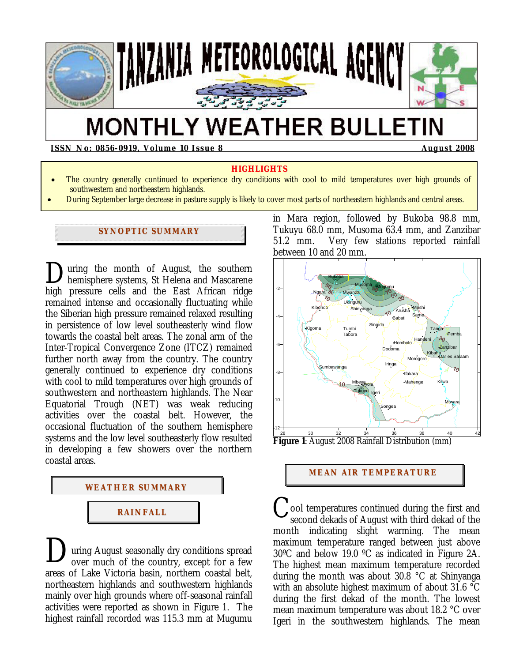

# **MONTHLY WEATHER BULLETIN**

**ISSN No: 0856-0919, Volume 10 Issue 8 August 2008** August 2008

#### **HIGHLIGHTS**

- The country generally continued to experience dry conditions with cool to mild temperatures over high grounds of southwestern and northeastern highlands.
- During September large decrease in pasture supply is likely to cover most parts of northeastern highlands and central areas.

## **SYNOPTIC SUMMARY**

uring the month of August, the southern hemisphere systems, St Helena and Mascarene high pressure cells and the East African ridge remained intense and occasionally fluctuating while the Siberian high pressure remained relaxed resulting in persistence of low level southeasterly wind flow towards the coastal belt areas. The zonal arm of the Inter-Tropical Convergence Zone (ITCZ) remained further north away from the country. The country generally continued to experience dry conditions with cool to mild temperatures over high grounds of southwestern and northeastern highlands. The Near Equatorial Trough (NET) was weak reducing activities over the coastal belt. However, the occasional fluctuation of the southern hemisphere systems and the low level southeasterly flow resulted in developing a few showers over the northern coastal areas.  $\sum_{he}$ 



uring August seasonally dry conditions spread over much of the country, except for a few areas of Lake Victoria basin, northern coastal belt, northeastern highlands and southwestern highlands mainly over high grounds where off-seasonal rainfall activities were reported as shown in Figure 1. The highest rainfall recorded was 115.3 mm at Mugumu  $\mathbf{D}_{\text{ov}}^{\text{ur}}$ 

in Mara region, followed by Bukoba 98.8 mm, Tukuyu 68.0 mm, Musoma 63.4 mm, and Zanzibar 51.2 mm. Very few stations reported rainfall between 10 and 20 mm.



#### **MEAN AIR TEMPERATURE**

ool temperatures continued during the first and second dekads of August with third dekad of the month indicating slight warming. The mean maximum temperature ranged between just above 30ºC and below 19.0 ºC as indicated in Figure 2A. The highest mean maximum temperature recorded during the month was about 30.8 °C at Shinyanga with an absolute highest maximum of about 31.6 °C during the first dekad of the month. The lowest mean maximum temperature was about 18.2 °C over Igeri in the southwestern highlands. The mean C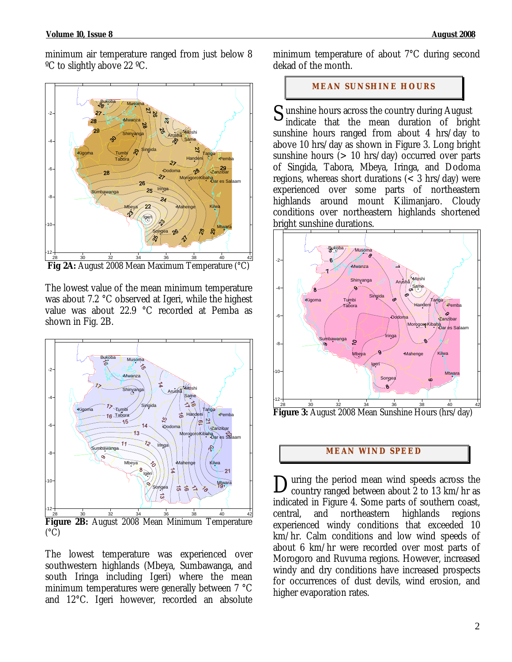minimum air temperature ranged from just below 8 ºC to slightly above 22 ºC.



 **Fig 2A:** August 2008 Mean Maximum Temperature (°C)

The lowest value of the mean minimum temperature was about 7.2 °C observed at Igeri, while the highest value was about 22.9 °C recorded at Pemba as shown in Fig. 2B.



The lowest temperature was experienced over southwestern highlands (Mbeya, Sumbawanga, and south Iringa including Igeri) where the mean minimum temperatures were generally between 7 °C and 12°C. Igeri however, recorded an absolute minimum temperature of about 7°C during second dekad of the month.

# **MEAN SUNSHINE HOURS**

 $S$  unshine hours across the country during August<br>indicate that the mean duration of bright indicate that the mean duration of bright sunshine hours ranged from about 4 hrs/day to above 10 hrs/day as shown in Figure 3. Long bright sunshine hours  $(> 10 \text{ hrs/day})$  occurred over parts of Singida, Tabora, Mbeya, Iringa, and Dodoma regions, whereas short durations  $\left($  < 3 hrs/day) were experienced over some parts of northeastern highlands around mount Kilimanjaro. Cloudy conditions over northeastern highlands shortened bright sunshine durations.



# **MEAN WI ND SPEED**

uring the period mean wind speeds across the During the period mean wind speeds across the country ranged between about 2 to 13 km/hr as indicated in Figure 4. Some parts of southern coast, central, and northeastern highlands regions experienced windy conditions that exceeded 10 km/hr. Calm conditions and low wind speeds of about 6 km/hr were recorded over most parts of Morogoro and Ruvuma regions. However, increased windy and dry conditions have increased prospects for occurrences of dust devils, wind erosion, and higher evaporation rates.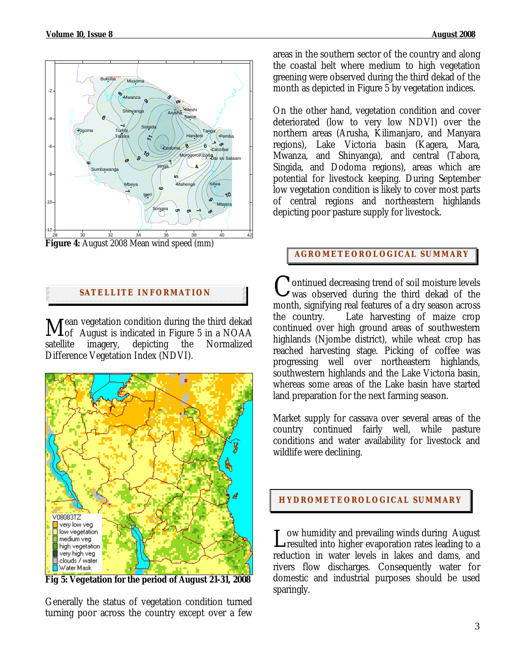

**Figure 4:** August 2008 Mean wind speed (mm)

## **SATELLITE I NFORMATION**

**Fean vegetation condition during the third dekad**  $\rm M_{\rm \odot}^{\rm \rm \, can}$  vegetation condition during the third dekad  $\rm M_{\rm \odot}$  August is indicated in Figure 5 in a NOAA satellite imagery, depicting the Normalized Difference Vegetation Index (NDVI).



**Fig 5: Vegetation for the period of August 21-31, 2008** 

Generally the status of vegetation condition turned turning poor across the country except over a few areas in the southern sector of the country and along the coastal belt where medium to high vegetation greening were observed during the third dekad of the month as depicted in Figure 5 by vegetation indices.

On the other hand, vegetation condition and cover deteriorated (low to very low NDVI) over the northern areas (Arusha, Kilimanjaro, and Manyara regions), Lake Victoria basin (Kagera, Mara, Mwanza, and Shinyanga), and central (Tabora, Singida, and Dodoma regions), areas which are potential for livestock keeping. During September low vegetation condition is likely to cover most parts of central regions and northeastern highlands depicting poor pasture supply for livestock.

## **AGROMETEOROLOGICAL SUMMARY**

ontinued decreasing trend of soil moisture levels Continued decreasing trend of soil moisture levels<br>
Wwas observed during the third dekad of the month, signifying real features of a dry season across the country. Late harvesting of maize crop continued over high ground areas of southwestern highlands (Njombe district), while wheat crop has reached harvesting stage. Picking of coffee was progressing well over northeastern highlands, southwestern highlands and the Lake Victoria basin, whereas some areas of the Lake basin have started land preparation for the next farming season.

Market supply for cassava over several areas of the country continued fairly well, while pasture conditions and water availability for livestock and wildlife were declining.

# **HYDROMETEOROLOGICAL SUMMARY**

ow humidity and prevailing winds during August L ow humidity and prevailing winds during August<br>resulted into higher evaporation rates leading to a reduction in water levels in lakes and dams, and rivers flow discharges. Consequently water for domestic and industrial purposes should be used sparingly.